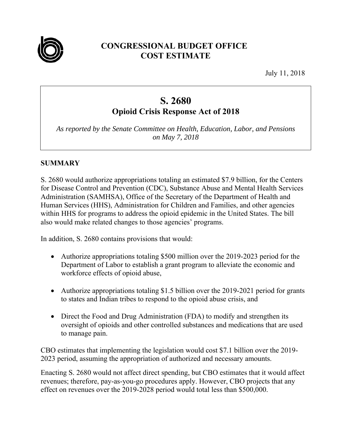

# **CONGRESSIONAL BUDGET OFFICE COST ESTIMATE**

July 11, 2018

# **S. 2680**

# **Opioid Crisis Response Act of 2018**

*As reported by the Senate Committee on Health, Education, Labor, and Pensions on May 7, 2018* 

### **SUMMARY**

S. 2680 would authorize appropriations totaling an estimated \$7.9 billion, for the Centers for Disease Control and Prevention (CDC), Substance Abuse and Mental Health Services Administration (SAMHSA), Office of the Secretary of the Department of Health and Human Services (HHS), Administration for Children and Families, and other agencies within HHS for programs to address the opioid epidemic in the United States. The bill also would make related changes to those agencies' programs.

In addition, S. 2680 contains provisions that would:

- Authorize appropriations totaling \$500 million over the 2019-2023 period for the Department of Labor to establish a grant program to alleviate the economic and workforce effects of opioid abuse,
- Authorize appropriations totaling \$1.5 billion over the 2019-2021 period for grants to states and Indian tribes to respond to the opioid abuse crisis, and
- Direct the Food and Drug Administration (FDA) to modify and strengthen its oversight of opioids and other controlled substances and medications that are used to manage pain.

CBO estimates that implementing the legislation would cost \$7.1 billion over the 2019- 2023 period, assuming the appropriation of authorized and necessary amounts.

Enacting S. 2680 would not affect direct spending, but CBO estimates that it would affect revenues; therefore, pay-as-you-go procedures apply. However, CBO projects that any effect on revenues over the 2019-2028 period would total less than \$500,000.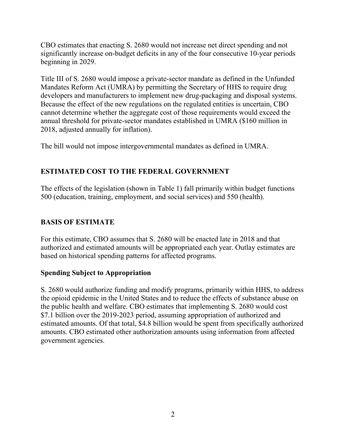CBO estimates that enacting S. 2680 would not increase net direct spending and not significantly increase on-budget deficits in any of the four consecutive 10-year periods beginning in 2029.

Title III of S. 2680 would impose a private-sector mandate as defined in the Unfunded Mandates Reform Act (UMRA) by permitting the Secretary of HHS to require drug developers and manufacturers to implement new drug-packaging and disposal systems. Because the effect of the new regulations on the regulated entities is uncertain, CBO cannot determine whether the aggregate cost of those requirements would exceed the annual threshold for private-sector mandates established in UMRA (\$160 million in 2018, adjusted annually for inflation).

The bill would not impose intergovernmental mandates as defined in UMRA.

# **ESTIMATED COST TO THE FEDERAL GOVERNMENT**

The effects of the legislation (shown in Table 1) fall primarily within budget functions 500 (education, training, employment, and social services) and 550 (health).

## **BASIS OF ESTIMATE**

For this estimate, CBO assumes that S. 2680 will be enacted late in 2018 and that authorized and estimated amounts will be appropriated each year. Outlay estimates are based on historical spending patterns for affected programs.

### **Spending Subject to Appropriation**

S. 2680 would authorize funding and modify programs, primarily within HHS, to address the opioid epidemic in the United States and to reduce the effects of substance abuse on the public health and welfare. CBO estimates that implementing S. 2680 would cost \$7.1 billion over the 2019-2023 period, assuming appropriation of authorized and estimated amounts. Of that total, \$4.8 billion would be spent from specifically authorized amounts. CBO estimated other authorization amounts using information from affected government agencies.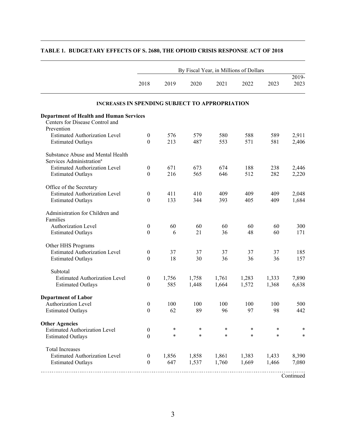|                                                                                                 | By Fiscal Year, in Millions of Dollars |              |                |                |                |                |                |  |  |  |  |
|-------------------------------------------------------------------------------------------------|----------------------------------------|--------------|----------------|----------------|----------------|----------------|----------------|--|--|--|--|
|                                                                                                 | 2018                                   | 2019         | 2020           | 2021           | 2022           | 2023           | 2019-<br>2023  |  |  |  |  |
| <b>INCREASES IN SPENDING SUBJECT TO APPROPRIATION</b>                                           |                                        |              |                |                |                |                |                |  |  |  |  |
| <b>Department of Health and Human Services</b><br>Centers for Disease Control and<br>Prevention |                                        |              |                |                |                |                |                |  |  |  |  |
| <b>Estimated Authorization Level</b><br><b>Estimated Outlays</b>                                | $\boldsymbol{0}$<br>$\theta$           | 576<br>213   | 579<br>487     | 580<br>553     | 588<br>571     | 589<br>581     | 2,911<br>2,406 |  |  |  |  |
| Substance Abuse and Mental Health<br>Services Administration <sup>a</sup>                       |                                        |              |                |                |                |                |                |  |  |  |  |
| <b>Estimated Authorization Level</b><br><b>Estimated Outlays</b>                                | $\boldsymbol{0}$<br>$\theta$           | 671<br>216   | 673<br>565     | 674<br>646     | 188<br>512     | 238<br>282     | 2,446<br>2,220 |  |  |  |  |
| Office of the Secretary<br><b>Estimated Authorization Level</b><br><b>Estimated Outlays</b>     | $\boldsymbol{0}$<br>$\theta$           | 411<br>133   | 410<br>344     | 409<br>393     | 409<br>405     | 409<br>409     | 2,048<br>1,684 |  |  |  |  |
| Administration for Children and<br>Families                                                     |                                        |              |                |                |                |                |                |  |  |  |  |
| <b>Authorization Level</b><br><b>Estimated Outlays</b>                                          | $\boldsymbol{0}$<br>$\Omega$           | 60<br>6      | 60<br>21       | 60<br>36       | 60<br>48       | 60<br>60       | 300<br>171     |  |  |  |  |
| Other HHS Programs<br><b>Estimated Authorization Level</b><br><b>Estimated Outlays</b>          | $\boldsymbol{0}$<br>$\boldsymbol{0}$   | 37<br>18     | 37<br>30       | 37<br>36       | 37<br>36       | 37<br>36       | 185<br>157     |  |  |  |  |
| Subtotal<br><b>Estimated Authorization Level</b><br><b>Estimated Outlays</b>                    | $\boldsymbol{0}$<br>$\theta$           | 1,756<br>585 | 1,758<br>1,448 | 1,761<br>1,664 | 1,283<br>1,572 | 1,333<br>1,368 | 7,890<br>6,638 |  |  |  |  |
| <b>Department of Labor</b><br><b>Authorization Level</b>                                        | $\boldsymbol{0}$                       | 100          | 100            | 100            | 100            | 100            | 500            |  |  |  |  |
| <b>Estimated Outlays</b>                                                                        | $\theta$                               | 62           | 89             | 96             | 97             | 98             | 442            |  |  |  |  |
| <b>Other Agencies</b><br><b>Estimated Authorization Level</b><br><b>Estimated Outlays</b>       | $\boldsymbol{0}$<br>$\theta$           | *<br>*       | ∗<br>$\ast$    | ∗<br>$\ast$    | *<br>$\ast$    | *<br>$\ast$    | *<br>∗         |  |  |  |  |
| <b>Total Increases</b><br><b>Estimated Authorization Level</b><br><b>Estimated Outlays</b>      | $\boldsymbol{0}$<br>$\theta$           | 1,856<br>647 | 1,858<br>1,537 | 1,861<br>1,760 | 1,383<br>1,669 | 1,433<br>1,466 | 8,390<br>7,080 |  |  |  |  |

### **TABLE 1. BUDGETARY EFFECTS OF S. 2680, THE OPIOID CRISIS RESPONSE ACT OF 2018**

**Continued**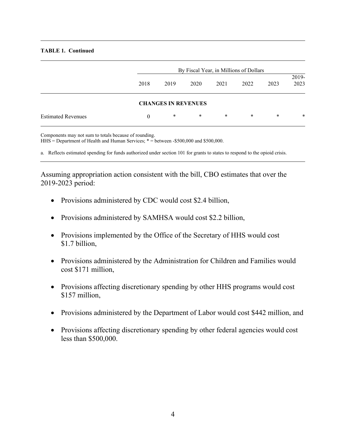#### **TABLE 1. Continued**

|                           |          | By Fiscal Year, in Millions of Dollars |        |        |      |        |               |  |  |  |  |  |
|---------------------------|----------|----------------------------------------|--------|--------|------|--------|---------------|--|--|--|--|--|
|                           | 2018     | 2019                                   | 2020   | 2021   | 2022 | 2023   | 2019-<br>2023 |  |  |  |  |  |
|                           |          | <b>CHANGES IN REVENUES</b>             |        |        |      |        |               |  |  |  |  |  |
| <b>Estimated Revenues</b> | $\theta$ | $\ast$                                 | $\ast$ | $\ast$ | *    | $\ast$ | *             |  |  |  |  |  |

Components may not sum to totals because of rounding.

 $HHS = Department of Health and Human Services; * = between -$500,000 and $500,000.$ 

a. Reflects estimated spending for funds authorized under section 101 for grants to states to respond to the opioid crisis.

Assuming appropriation action consistent with the bill, CBO estimates that over the 2019-2023 period:

- Provisions administered by CDC would cost \$2.4 billion,
- Provisions administered by SAMHSA would cost \$2.2 billion,
- Provisions implemented by the Office of the Secretary of HHS would cost \$1.7 billion,
- Provisions administered by the Administration for Children and Families would cost \$171 million,
- Provisions affecting discretionary spending by other HHS programs would cost \$157 million,
- Provisions administered by the Department of Labor would cost \$442 million, and
- Provisions affecting discretionary spending by other federal agencies would cost less than \$500,000.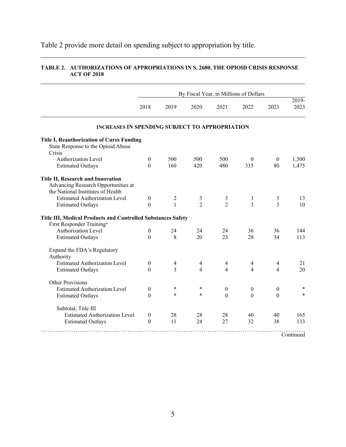Table 2 provide more detail on spending subject to appropriation by title.

| TABLE 2.   AUTHORIZATIONS OF APPROPRIATIONS IN S. 2680, THE OPIOID CRISIS RESPONSE |
|------------------------------------------------------------------------------------|
| <b>ACT OF 2018</b>                                                                 |

|                                                                                                               |                  |                |                | By Fiscal Year, in Millions of Dollars |                          |                          |               |
|---------------------------------------------------------------------------------------------------------------|------------------|----------------|----------------|----------------------------------------|--------------------------|--------------------------|---------------|
|                                                                                                               | 2018             | 2019           | 2020           | 2021                                   | 2022                     | 2023                     | 2019-<br>2023 |
| <b>INCREASES IN SPENDING SUBJECT TO APPROPRIATION</b>                                                         |                  |                |                |                                        |                          |                          |               |
| <b>Title I, Reauthorization of Cures Funding</b>                                                              |                  |                |                |                                        |                          |                          |               |
| State Response to the Opioid Abuse<br>Crisis                                                                  |                  |                |                |                                        |                          |                          |               |
| Authorization Level                                                                                           | $\mathbf{0}$     | 500            | 500            | 500                                    | $\mathbf{0}$             | $\theta$                 | 1,500         |
| <b>Estimated Outlays</b>                                                                                      | $\theta$         | 160            | 420            | 480                                    | 335                      | 80                       | 1,475         |
| Title II, Research and Innovation<br>Advancing Research Opportunities at<br>the National Institutes of Health |                  |                |                |                                        |                          |                          |               |
| <b>Estimated Authorization Level</b>                                                                          | $\boldsymbol{0}$ | 2              | 3              | 3                                      | 3                        | 3                        | 13            |
| <b>Estimated Outlays</b>                                                                                      | $\theta$         | 1              | $\overline{2}$ | $\overline{2}$                         | 3                        | 3                        | 10            |
| Title III, Medical Products and Controlled Substances Safety<br>First Responder Training <sup>a</sup>         |                  |                |                |                                        |                          |                          |               |
| <b>Authorization Level</b>                                                                                    | $\boldsymbol{0}$ | 24             | 24             | 24                                     | 36                       | 36                       | 144           |
| <b>Estimated Outlays</b>                                                                                      | $\Omega$         | 8              | 20             | 23                                     | 28                       | 34                       | 113           |
| Expand the FDA's Regulatory<br>Authority                                                                      |                  |                |                |                                        |                          |                          |               |
| <b>Estimated Authorization Level</b>                                                                          | $\boldsymbol{0}$ | $\overline{4}$ | 4              | 4                                      | 4                        | 4                        | 21            |
| <b>Estimated Outlays</b>                                                                                      | $\theta$         | 3              | 4              | $\overline{\mathcal{A}}$               | $\overline{\mathcal{L}}$ | $\overline{\mathcal{L}}$ | 20            |
| Other Provisions                                                                                              |                  |                |                |                                        |                          |                          |               |
| <b>Estimated Authorization Level</b>                                                                          | $\boldsymbol{0}$ | *              | ∗              | $\boldsymbol{0}$                       | $\mathbf{0}$             | $\mathbf{0}$             | *             |
| <b>Estimated Outlays</b>                                                                                      | $\Omega$         | *              | $\ast$         | $\Omega$                               | $\theta$                 | $\Omega$                 | $\ast$        |
| Subtotal, Title III                                                                                           |                  |                |                |                                        |                          |                          |               |
| <b>Estimated Authorization Level</b>                                                                          | $\boldsymbol{0}$ | 28             | 28             | 28                                     | 40                       | 40                       | 165           |
| <b>Estimated Outlays</b>                                                                                      | $\mathbf{0}$     | 11             | 24             | 27                                     | 32                       | 38                       | 133           |
|                                                                                                               |                  |                |                |                                        |                          |                          | Continued     |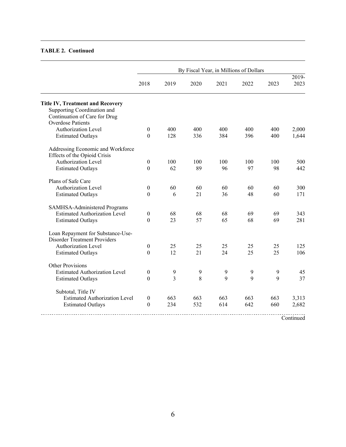#### **TABLE 2. Continued**

|                                                                   |                  |      | By Fiscal Year, in Millions of Dollars |      |             |             |                           |
|-------------------------------------------------------------------|------------------|------|----------------------------------------|------|-------------|-------------|---------------------------|
|                                                                   | 2018             | 2019 | 2020                                   | 2021 | 2022        | 2023        | $\overline{2019}$<br>2023 |
| <b>Title IV, Treatment and Recovery</b>                           |                  |      |                                        |      |             |             |                           |
| Supporting Coordination and                                       |                  |      |                                        |      |             |             |                           |
| Continuation of Care for Drug                                     |                  |      |                                        |      |             |             |                           |
| <b>Overdose Patients</b>                                          |                  |      |                                        |      |             |             |                           |
| <b>Authorization Level</b>                                        | $\mathbf{0}$     | 400  | 400                                    | 400  | 400         | 400         | 2,000                     |
| <b>Estimated Outlays</b>                                          | $\theta$         | 128  | 336                                    | 384  | 396         | 400         | 1,644                     |
| Addressing Economic and Workforce<br>Effects of the Opioid Crisis |                  |      |                                        |      |             |             |                           |
| Authorization Level                                               | $\boldsymbol{0}$ | 100  | 100                                    | 100  | 100         | 100         | 500                       |
| <b>Estimated Outlays</b>                                          | $\boldsymbol{0}$ | 62   | 89                                     | 96   | 97          | 98          | 442                       |
| Plans of Safe Care                                                |                  |      |                                        |      |             |             |                           |
| <b>Authorization Level</b>                                        | $\boldsymbol{0}$ | 60   | 60                                     | 60   | 60          | 60          | 300                       |
| <b>Estimated Outlays</b>                                          | $\Omega$         | 6    | 21                                     | 36   | 48          | 60          | 171                       |
|                                                                   |                  |      |                                        |      |             |             |                           |
| SAMHSA-Administered Programs                                      |                  |      |                                        |      |             |             |                           |
| <b>Estimated Authorization Level</b>                              | $\boldsymbol{0}$ | 68   | 68                                     | 68   | 69          | 69          | 343                       |
| <b>Estimated Outlays</b>                                          | $\boldsymbol{0}$ | 23   | 57                                     | 65   | 68          | 69          | 281                       |
| Loan Repayment for Substance-Use-                                 |                  |      |                                        |      |             |             |                           |
| <b>Disorder Treatment Providers</b>                               |                  |      |                                        |      |             |             |                           |
| <b>Authorization Level</b>                                        | $\boldsymbol{0}$ | 25   | 25                                     | 25   | 25          | 25          | 125                       |
| <b>Estimated Outlays</b>                                          | $\theta$         | 12   | 21                                     | 24   | 25          | 25          | 106                       |
| Other Provisions                                                  |                  |      |                                        |      |             |             |                           |
| <b>Estimated Authorization Level</b>                              | $\boldsymbol{0}$ | 9    | 9                                      | 9    | 9           | 9           | 45                        |
| <b>Estimated Outlays</b>                                          | $\boldsymbol{0}$ | 3    | 8                                      | 9    | $\mathbf Q$ | $\mathbf Q$ | 37                        |
|                                                                   |                  |      |                                        |      |             |             |                           |
| Subtotal, Title IV                                                |                  |      |                                        |      |             |             |                           |
| <b>Estimated Authorization Level</b>                              | $\boldsymbol{0}$ | 663  | 663                                    | 663  | 663         | 663         | 3,313                     |
| <b>Estimated Outlays</b>                                          | $\boldsymbol{0}$ | 234  | 532                                    | 614  | 642         | 660         | 2,682                     |
|                                                                   |                  |      |                                        |      |             |             | Continued                 |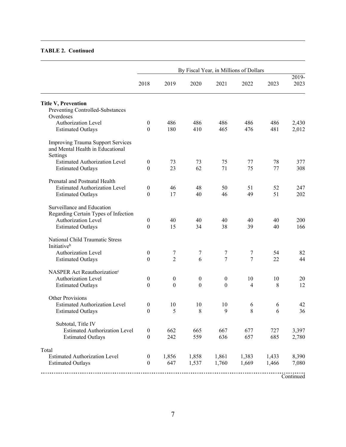#### **TABLE 2. Continued**

|                                                                                          | By Fiscal Year, in Millions of Dollars |                  |                  |                  |          |          |               |  |  |  |  |
|------------------------------------------------------------------------------------------|----------------------------------------|------------------|------------------|------------------|----------|----------|---------------|--|--|--|--|
|                                                                                          | 2018                                   | 2019             | 2020             | 2021             | 2022     | 2023     | 2019-<br>2023 |  |  |  |  |
| <b>Title V, Prevention</b><br>Preventing Controlled-Substances<br>Overdoses              |                                        |                  |                  |                  |          |          |               |  |  |  |  |
| <b>Authorization Level</b>                                                               | $\boldsymbol{0}$                       | 486              | 486              | 486              | 486      | 486      | 2,430         |  |  |  |  |
| <b>Estimated Outlays</b>                                                                 | $\boldsymbol{0}$                       | 180              | 410              | 465              | 476      | 481      | 2,012         |  |  |  |  |
| <b>Improving Trauma Support Services</b><br>and Mental Health in Educational<br>Settings |                                        |                  |                  |                  |          |          |               |  |  |  |  |
| <b>Estimated Authorization Level</b>                                                     | $\boldsymbol{0}$                       | 73               | 73               | 75               | 77       | 78       | 377           |  |  |  |  |
| <b>Estimated Outlays</b>                                                                 | $\boldsymbol{0}$                       | 23               | 62               | 71               | 75       | 77       | 308           |  |  |  |  |
| Prenatal and Postnatal Health<br><b>Estimated Authorization Level</b>                    | $\boldsymbol{0}$                       | 46               | 48               | 50               | 51       | 52       | 247           |  |  |  |  |
| <b>Estimated Outlays</b>                                                                 | $\theta$                               | 17               | 40               | 46               | 49       | 51       | 202           |  |  |  |  |
| Surveillance and Education<br>Regarding Certain Types of Infection                       |                                        |                  |                  |                  |          |          |               |  |  |  |  |
| Authorization Level<br><b>Estimated Outlays</b>                                          | $\boldsymbol{0}$<br>$\boldsymbol{0}$   | 40<br>15         | 40<br>34         | 40<br>38         | 40<br>39 | 40<br>40 | 200<br>166    |  |  |  |  |
| National Child Traumatic Stress<br>Initiative <sup>b</sup>                               |                                        |                  |                  |                  |          |          |               |  |  |  |  |
| <b>Authorization Level</b>                                                               | $\boldsymbol{0}$                       | 7                | 7                | 7                | 7        | 54       | 82            |  |  |  |  |
| <b>Estimated Outlays</b>                                                                 | $\theta$                               | $\overline{2}$   | 6                | 7                | 7        | 22       | 44            |  |  |  |  |
| NASPER Act Reauthorization <sup>c</sup>                                                  |                                        |                  |                  |                  |          |          |               |  |  |  |  |
| Authorization Level                                                                      | $\boldsymbol{0}$                       | $\boldsymbol{0}$ | $\boldsymbol{0}$ | $\boldsymbol{0}$ | 10       | 10       | 20            |  |  |  |  |
| <b>Estimated Outlays</b>                                                                 | $\boldsymbol{0}$                       | $\mathbf{0}$     | $\mathbf{0}$     | $\theta$         | 4        | 8        | 12            |  |  |  |  |
| <b>Other Provisions</b>                                                                  |                                        |                  |                  |                  |          |          |               |  |  |  |  |
| <b>Estimated Authorization Level</b>                                                     | $\boldsymbol{0}$                       | 10               | 10               | 10               | 6        | 6        | 42            |  |  |  |  |
| <b>Estimated Outlays</b>                                                                 | $\boldsymbol{0}$                       | 5                | 8                | 9                | 8        | 6        | 36            |  |  |  |  |
| Subtotal, Title IV                                                                       |                                        |                  |                  |                  |          |          |               |  |  |  |  |
| <b>Estimated Authorization Level</b>                                                     | $\boldsymbol{0}$                       | 662              | 665              | 667              | 677      | 727      | 3,397         |  |  |  |  |
| <b>Estimated Outlays</b>                                                                 | $\boldsymbol{0}$                       | 242              | 559              | 636              | 657      | 685      | 2,780         |  |  |  |  |
| Total                                                                                    |                                        |                  |                  |                  |          |          |               |  |  |  |  |
| <b>Estimated Authorization Level</b>                                                     | $\boldsymbol{0}$                       | 1,856            | 1,858            | 1,861            | 1,383    | 1,433    | 8,390         |  |  |  |  |
| <b>Estimated Outlays</b>                                                                 | $\boldsymbol{0}$                       | 647              | 1,537            | 1,760            | 1,669    | 1,466    | 7,080         |  |  |  |  |
|                                                                                          |                                        |                  |                  |                  |          |          |               |  |  |  |  |

Continued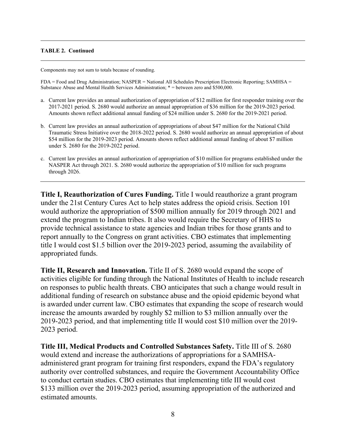#### **TABLE 2. Continued**

Components may not sum to totals because of rounding.

FDA = Food and Drug Administration; NASPER = National All Schedules Prescription Electronic Reporting; SAMHSA = Substance Abuse and Mental Health Services Administration; \* = between zero and \$500,000.

- a. Current law provides an annual authorization of appropriation of \$12 million for first responder training over the 2017-2021 period. S. 2680 would authorize an annual appropriation of \$36 million for the 2019-2023 period. Amounts shown reflect additional annual funding of \$24 million under S. 2680 for the 2019-2021 period.
- b. Current law provides an annual authorization of appropriations of about \$47 million for the National Child Traumatic Stress Initiative over the 2018-2022 period. S. 2680 would authorize an annual appropriation of about \$54 million for the 2019-2023 period. Amounts shown reflect additional annual funding of about \$7 million under S. 2680 for the 2019-2022 period.
- c. Current law provides an annual authorization of appropriation of \$10 million for programs established under the NASPER Act through 2021. S. 2680 would authorize the appropriation of \$10 million for such programs through 2026.

**Title I, Reauthorization of Cures Funding.** Title I would reauthorize a grant program under the 21st Century Cures Act to help states address the opioid crisis. Section 101 would authorize the appropriation of \$500 million annually for 2019 through 2021 and extend the program to Indian tribes. It also would require the Secretary of HHS to provide technical assistance to state agencies and Indian tribes for those grants and to report annually to the Congress on grant activities. CBO estimates that implementing title I would cost \$1.5 billion over the 2019-2023 period, assuming the availability of appropriated funds.

**Title II, Research and Innovation.** Title II of S. 2680 would expand the scope of activities eligible for funding through the National Institutes of Health to include research on responses to public health threats. CBO anticipates that such a change would result in additional funding of research on substance abuse and the opioid epidemic beyond what is awarded under current law. CBO estimates that expanding the scope of research would increase the amounts awarded by roughly \$2 million to \$3 million annually over the 2019-2023 period, and that implementing title II would cost \$10 million over the 2019- 2023 period.

**Title III, Medical Products and Controlled Substances Safety.** Title III of S. 2680 would extend and increase the authorizations of appropriations for a SAMHSAadministered grant program for training first responders, expand the FDA's regulatory authority over controlled substances, and require the Government Accountability Office to conduct certain studies. CBO estimates that implementing title III would cost \$133 million over the 2019-2023 period, assuming appropriation of the authorized and estimated amounts.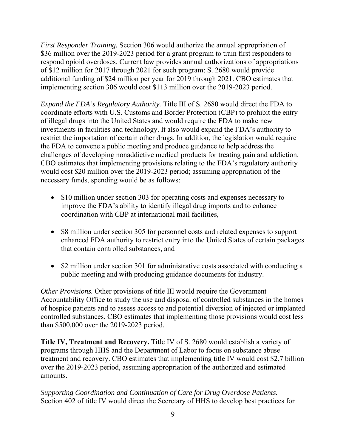*First Responder Training.* Section 306 would authorize the annual appropriation of \$36 million over the 2019-2023 period for a grant program to train first responders to respond opioid overdoses. Current law provides annual authorizations of appropriations of \$12 million for 2017 through 2021 for such program; S. 2680 would provide additional funding of \$24 million per year for 2019 through 2021. CBO estimates that implementing section 306 would cost \$113 million over the 2019-2023 period.

*Expand the FDA's Regulatory Authority.* Title III of S. 2680 would direct the FDA to coordinate efforts with U.S. Customs and Border Protection (CBP) to prohibit the entry of illegal drugs into the United States and would require the FDA to make new investments in facilities and technology. It also would expand the FDA's authority to restrict the importation of certain other drugs. In addition, the legislation would require the FDA to convene a public meeting and produce guidance to help address the challenges of developing nonaddictive medical products for treating pain and addiction. CBO estimates that implementing provisions relating to the FDA's regulatory authority would cost \$20 million over the 2019-2023 period; assuming appropriation of the necessary funds, spending would be as follows:

- \$10 million under section 303 for operating costs and expenses necessary to improve the FDA's ability to identify illegal drug imports and to enhance coordination with CBP at international mail facilities,
- \$8 million under section 305 for personnel costs and related expenses to support enhanced FDA authority to restrict entry into the United States of certain packages that contain controlled substances, and
- \$2 million under section 301 for administrative costs associated with conducting a public meeting and with producing guidance documents for industry.

*Other Provisions.* Other provisions of title III would require the Government Accountability Office to study the use and disposal of controlled substances in the homes of hospice patients and to assess access to and potential diversion of injected or implanted controlled substances. CBO estimates that implementing those provisions would cost less than \$500,000 over the 2019-2023 period.

**Title IV, Treatment and Recovery.** Title IV of S. 2680 would establish a variety of programs through HHS and the Department of Labor to focus on substance abuse treatment and recovery. CBO estimates that implementing title IV would cost \$2.7 billion over the 2019-2023 period, assuming appropriation of the authorized and estimated amounts.

*Supporting Coordination and Continuation of Care for Drug Overdose Patients.* Section 402 of title IV would direct the Secretary of HHS to develop best practices for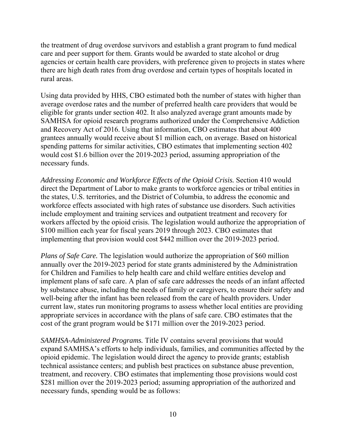the treatment of drug overdose survivors and establish a grant program to fund medical care and peer support for them. Grants would be awarded to state alcohol or drug agencies or certain health care providers, with preference given to projects in states where there are high death rates from drug overdose and certain types of hospitals located in rural areas.

Using data provided by HHS, CBO estimated both the number of states with higher than average overdose rates and the number of preferred health care providers that would be eligible for grants under section 402. It also analyzed average grant amounts made by SAMHSA for opioid research programs authorized under the Comprehensive Addiction and Recovery Act of 2016. Using that information, CBO estimates that about 400 grantees annually would receive about \$1 million each, on average. Based on historical spending patterns for similar activities, CBO estimates that implementing section 402 would cost \$1.6 billion over the 2019-2023 period, assuming appropriation of the necessary funds.

*Addressing Economic and Workforce Effects of the Opioid Crisis.* Section 410 would direct the Department of Labor to make grants to workforce agencies or tribal entities in the states, U.S. territories, and the District of Columbia, to address the economic and workforce effects associated with high rates of substance use disorders. Such activities include employment and training services and outpatient treatment and recovery for workers affected by the opioid crisis. The legislation would authorize the appropriation of \$100 million each year for fiscal years 2019 through 2023. CBO estimates that implementing that provision would cost \$442 million over the 2019-2023 period.

*Plans of Safe Care.* The legislation would authorize the appropriation of \$60 million annually over the 2019-2023 period for state grants administered by the Administration for Children and Families to help health care and child welfare entities develop and implement plans of safe care. A plan of safe care addresses the needs of an infant affected by substance abuse, including the needs of family or caregivers, to ensure their safety and well-being after the infant has been released from the care of health providers. Under current law, states run monitoring programs to assess whether local entities are providing appropriate services in accordance with the plans of safe care. CBO estimates that the cost of the grant program would be \$171 million over the 2019-2023 period.

*SAMHSA-Administered Programs.* Title IV contains several provisions that would expand SAMHSA's efforts to help individuals, families, and communities affected by the opioid epidemic. The legislation would direct the agency to provide grants; establish technical assistance centers; and publish best practices on substance abuse prevention, treatment, and recovery. CBO estimates that implementing those provisions would cost \$281 million over the 2019-2023 period; assuming appropriation of the authorized and necessary funds, spending would be as follows: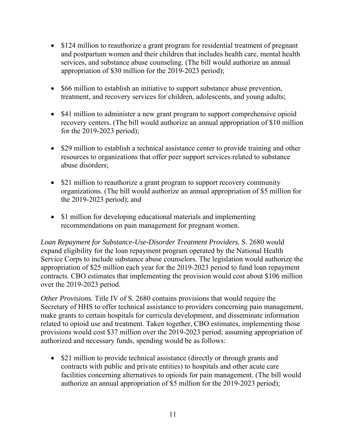- \$124 million to reauthorize a grant program for residential treatment of pregnant and postpartum women and their children that includes health care, mental health services, and substance abuse counseling. (The bill would authorize an annual appropriation of \$30 million for the 2019-2023 period);
- \$66 million to establish an initiative to support substance abuse prevention, treatment, and recovery services for children, adolescents, and young adults;
- \$41 million to administer a new grant program to support comprehensive opioid recovery centers. (The bill would authorize an annual appropriation of \$10 million for the 2019-2023 period);
- \$29 million to establish a technical assistance center to provide training and other resources to organizations that offer peer support services related to substance abuse disorders;
- \$21 million to reauthorize a grant program to support recovery community organizations. (The bill would authorize an annual appropriation of \$5 million for the 2019-2023 period); and
- \$1 million for developing educational materials and implementing recommendations on pain management for pregnant women.

*Loan Repayment for Substance-Use-Disorder Treatment Providers.* S. 2680 would expand eligibility for the loan repayment program operated by the National Health Service Corps to include substance abuse counselors. The legislation would authorize the appropriation of \$25 million each year for the 2019-2023 period to fund loan repayment contracts. CBO estimates that implementing the provision would cost about \$106 million over the 2019-2023 period.

*Other Provisions.* Title IV of S. 2680 contains provisions that would require the Secretary of HHS to offer technical assistance to providers concerning pain management, make grants to certain hospitals for curricula development, and disseminate information related to opioid use and treatment. Taken together, CBO estimates, implementing those provisions would cost \$37 million over the 2019-2023 period; assuming appropriation of authorized and necessary funds, spending would be as follows:

• \$21 million to provide technical assistance (directly or through grants and contracts with public and private entities) to hospitals and other acute care facilities concerning alternatives to opioids for pain management. (The bill would authorize an annual appropriation of \$5 million for the 2019-2023 period);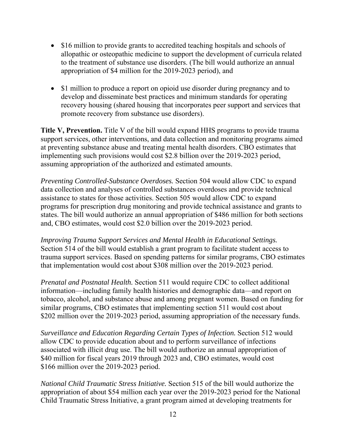- \$16 million to provide grants to accredited teaching hospitals and schools of allopathic or osteopathic medicine to support the development of curricula related to the treatment of substance use disorders. (The bill would authorize an annual appropriation of \$4 million for the 2019-2023 period), and
- \$1 million to produce a report on opioid use disorder during pregnancy and to develop and disseminate best practices and minimum standards for operating recovery housing (shared housing that incorporates peer support and services that promote recovery from substance use disorders).

**Title V, Prevention.** Title V of the bill would expand HHS programs to provide trauma support services, other interventions, and data collection and monitoring programs aimed at preventing substance abuse and treating mental health disorders. CBO estimates that implementing such provisions would cost \$2.8 billion over the 2019-2023 period, assuming appropriation of the authorized and estimated amounts.

*Preventing Controlled-Substance Overdoses.* Section 504 would allow CDC to expand data collection and analyses of controlled substances overdoses and provide technical assistance to states for those activities. Section 505 would allow CDC to expand programs for prescription drug monitoring and provide technical assistance and grants to states. The bill would authorize an annual appropriation of \$486 million for both sections and, CBO estimates, would cost \$2.0 billion over the 2019-2023 period.

*Improving Trauma Support Services and Mental Health in Educational Settings.* Section 514 of the bill would establish a grant program to facilitate student access to trauma support services. Based on spending patterns for similar programs, CBO estimates that implementation would cost about \$308 million over the 2019-2023 period.

*Prenatal and Postnatal Health.* Section 511 would require CDC to collect additional information—including family health histories and demographic data—and report on tobacco, alcohol, and substance abuse and among pregnant women. Based on funding for similar programs, CBO estimates that implementing section 511 would cost about \$202 million over the 2019-2023 period, assuming appropriation of the necessary funds.

*Surveillance and Education Regarding Certain Types of Infection.* Section 512 would allow CDC to provide education about and to perform surveillance of infections associated with illicit drug use. The bill would authorize an annual appropriation of \$40 million for fiscal years 2019 through 2023 and, CBO estimates, would cost \$166 million over the 2019-2023 period.

*National Child Traumatic Stress Initiative.* Section 515 of the bill would authorize the appropriation of about \$54 million each year over the 2019-2023 period for the National Child Traumatic Stress Initiative, a grant program aimed at developing treatments for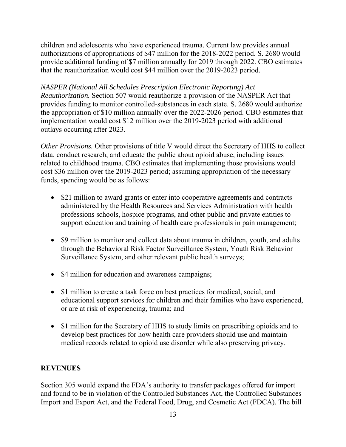children and adolescents who have experienced trauma. Current law provides annual authorizations of appropriations of \$47 million for the 2018-2022 period. S. 2680 would provide additional funding of \$7 million annually for 2019 through 2022. CBO estimates that the reauthorization would cost \$44 million over the 2019-2023 period.

*NASPER (National All Schedules Prescription Electronic Reporting) Act Reauthorization.* Section 507 would reauthorize a provision of the NASPER Act that provides funding to monitor controlled-substances in each state. S. 2680 would authorize the appropriation of \$10 million annually over the 2022-2026 period. CBO estimates that implementation would cost \$12 million over the 2019-2023 period with additional outlays occurring after 2023.

*Other Provisions.* Other provisions of title V would direct the Secretary of HHS to collect data, conduct research, and educate the public about opioid abuse, including issues related to childhood trauma. CBO estimates that implementing those provisions would cost \$36 million over the 2019-2023 period; assuming appropriation of the necessary funds, spending would be as follows:

- \$21 million to award grants or enter into cooperative agreements and contracts administered by the Health Resources and Services Administration with health professions schools, hospice programs, and other public and private entities to support education and training of health care professionals in pain management;
- \$9 million to monitor and collect data about trauma in children, youth, and adults through the Behavioral Risk Factor Surveillance System, Youth Risk Behavior Surveillance System, and other relevant public health surveys;
- \$4 million for education and awareness campaigns;
- \$1 million to create a task force on best practices for medical, social, and educational support services for children and their families who have experienced, or are at risk of experiencing, trauma; and
- \$1 million for the Secretary of HHS to study limits on prescribing opioids and to develop best practices for how health care providers should use and maintain medical records related to opioid use disorder while also preserving privacy.

### **REVENUES**

Section 305 would expand the FDA's authority to transfer packages offered for import and found to be in violation of the Controlled Substances Act, the Controlled Substances Import and Export Act, and the Federal Food, Drug, and Cosmetic Act (FDCA). The bill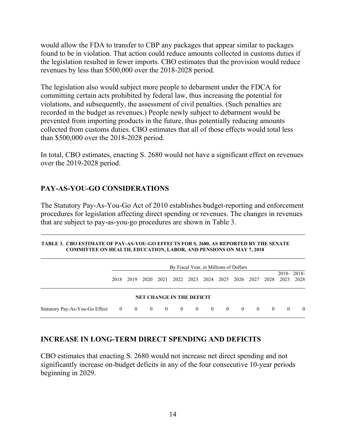would allow the FDA to transfer to CBP any packages that appear similar to packages found to be in violation. That action could reduce amounts collected in customs duties if the legislation resulted in fewer imports. CBO estimates that the provision would reduce revenues by less than \$500,000 over the 2018-2028 period.

The legislation also would subject more people to debarment under the FDCA for committing certain acts prohibited by federal law, thus increasing the potential for violations, and subsequently, the assessment of civil penalties. (Such penalties are recorded in the budget as revenues.) People newly subject to debarment would be prevented from importing products in the future, thus potentially reducing amounts collected from customs duties. CBO estimates that all of those effects would total less than \$500,000 over the 2018-2028 period.

In total, CBO estimates, enacting S. 2680 would not have a significant effect on revenues over the 2019-2028 period.

### **PAY-AS-YOU-GO CONSIDERATIONS**

The Statutory Pay-As-You-Go Act of 2010 establishes budget-reporting and enforcement procedures for legislation affecting direct spending or revenues. The changes in revenues that are subject to pay-as-you-go procedures are shown in Table 3.

#### **TABLE 3. CBO ESTIMATE OF PAY-AS-YOU-GO EFFECTS FOR S. 2680, AS REPORTED BY THE SENATE COMMITTEE ON HEALTH, EDUCATION, LABOR, AND PENSIONS ON MAY 7, 2018**

|                                              |      |      |      |      | By Fiscal Year, in Millions of Dollars |  |                         |  |             |          |          |           |            |
|----------------------------------------------|------|------|------|------|----------------------------------------|--|-------------------------|--|-------------|----------|----------|-----------|------------|
|                                              | 2018 | 2019 | 2020 | 2021 | 2022 2023 2024 2025 2026 2027 2028     |  |                         |  |             |          |          | 2023 2028 | 2018-2018- |
| <b>NET CHANGE IN THE DEFICIT</b>             |      |      |      |      |                                        |  |                         |  |             |          |          |           |            |
| Statutory Pay-As-You-Go Effect 0 0 0 0 0 0 0 |      |      |      |      |                                        |  | $\overline{\mathbf{0}}$ |  | $0\qquad 0$ | $\theta$ | $\theta$ | $\Omega$  | $\theta$   |

### **INCREASE IN LONG-TERM DIRECT SPENDING AND DEFICITS**

CBO estimates that enacting S. 2680 would not increase net direct spending and not significantly increase on-budget deficits in any of the four consecutive 10-year periods beginning in 2029.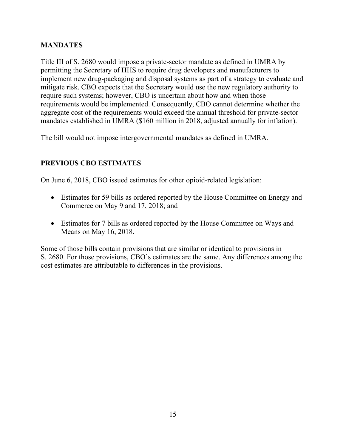### **MANDATES**

Title III of S. 2680 would impose a private-sector mandate as defined in UMRA by permitting the Secretary of HHS to require drug developers and manufacturers to implement new drug-packaging and disposal systems as part of a strategy to evaluate and mitigate risk. CBO expects that the Secretary would use the new regulatory authority to require such systems; however, CBO is uncertain about how and when those requirements would be implemented. Consequently, CBO cannot determine whether the aggregate cost of the requirements would exceed the annual threshold for private-sector mandates established in UMRA (\$160 million in 2018, adjusted annually for inflation).

The bill would not impose intergovernmental mandates as defined in UMRA.

### **PREVIOUS CBO ESTIMATES**

On June 6, 2018, CBO issued estimates for other opioid-related legislation:

- Estimates for 59 bills as ordered reported by the House Committee on Energy and Commerce on May 9 and 17, 2018; and
- Estimates for 7 bills as ordered reported by the House Committee on Ways and Means on May 16, 2018.

Some of those bills contain provisions that are similar or identical to provisions in S. 2680. For those provisions, CBO's estimates are the same. Any differences among the cost estimates are attributable to differences in the provisions.